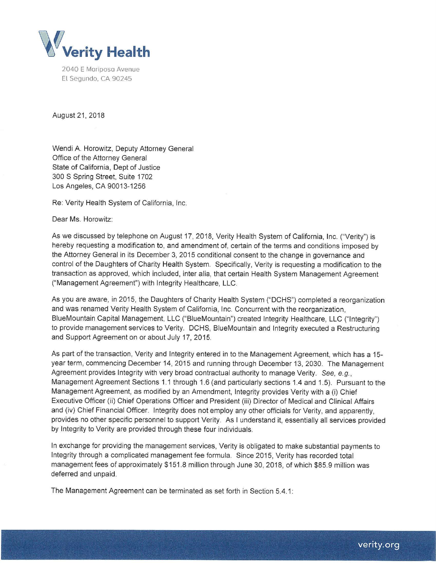

2040 E Mariposa Avenue El Segundo, CA 90245

August 21, 2018

Wendi A. Horowitz, Deputy Attorney General Office of the Attorney General State of California, Dept of Justice 300 S Spring Street, Suite 1702 Los Angeles, CA 90013-1256

Re: Verity Health System of California, Inc.

Dear Ms. Horowitz:

As we discussed by telephone on August 17, 2018, Verity Health System of California, Inc. ("Verity") is hereby requesting a modification to, and amendment of, certain of the terms and conditions imposed by the Attorney General in its December 3, 2015 conditional consent to the change in governance and control of the Daughters of Charity Health System. Specifically, Verity is requesting a modification to the transaction as approved, which included, inter alia, that certain Health System Management Agreement ("Management Agreement") with Integrity Healthcare, LLC.

As you are aware, in 2015, the Daughters of Charity Health System ("OCHS") completed a reorganization and was renamed Verity Health System of California, Inc. Concurrent with the reorganization, BlueMountain Capital Management, LLC ("BlueMountain") created Integrity Healthcare, LLC ("Integrity") to provide management services to Verity. OCHS, BlueMountain and Integrity executed a Restructuring and Support Agreement on or about July 17, 2015.

As part of the transaction, Verity and Integrity entered in to the Management Agreement, which has a 15 year term, commencing December 14, 2015 and running through December 13, 2030. The Management Agreement provides Integrity with very broad contractual authority to manage Verity. See, e.g., Management Agreement Sections 1.1 through 1.6 (and particularly sections 1.4 and 1.5). Pursuant to the Management Agreement, as modified by an Amendment, Integrity provides Verity with a (i) Chief Executive Officer (ii) Chief Operations Officer and President (iii) Director of Medical and Clinical Affairs and (iv) Chief Financial Officer. Integrity does not employ any other officials for Verity, and apparently, provides no other specific personnel to support Verity. As I understand it, essentially all services provided by Integrity to Verity are provided through these four individuals.

In exchange for providing the management services, Verity is obligated to make substantial payments to Integrity through a complicated management fee formula. Since 2015, Verity has recorded total management fees of approximately \$151.8 million through June 30, 2018, of which \$85.9 million was deferred and unpaid.

The Management Agreement can be terminated as set forth in Section 5.4.1: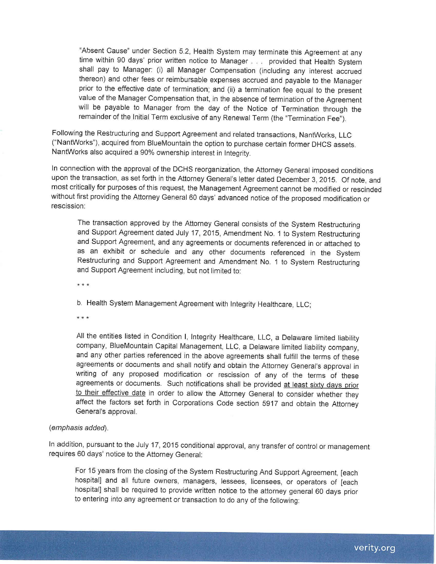"Absent Gause" under Section 5.2, Health System may terminate this Agreement at any time within 90 days' prior written notice to Manager . . . provided that Health System shall pay to Manager: (i) all Manager Compensation (including any interest accrued thereon) and other fees or reimbursable expenses accrued and payable to the Manager prior to the effective date of termination; and (ii) a termination fee equal to the present value of the Manager Compensation that, in the absence of termination of the Agreement will be payable to Manager from the day of the Notice of Termination through the remainder of the Initial Term exclusive of any Renewal Term (the "Termination Fee").

Following the Restructuring and Support Agreement and related transactions, NantWorks, LLC ("NantWorks"), acquired from BlueMountain the option to purchase certain former DHCS assets. NantWorks also acquired a 90% ownership interest in Integrity.

In connection with the approval of the OCHS reorganization, the Attorney General imposed conditions upon the transaction, as set forth in the Attorney General's letter dated December 3, 2015. Of note, and most critically for purposes of this request, the Management Agreement cannot be modified or rescinded without first providing the Attorney General 60 days' advanced notice of the proposed modification or rescission:

The transaction approved by the Attorney General consists of the System Restructuring and Support Agreement dated July 17, 2015, Amendment No. 1 to System Restructuring and Support Agreement, and any agreements or documents referenced in or attached to as an exhibit or schedule and any other documents referenced in the System Restructuring and Support Agreement and Amendment No. 1 to System Restructuring and Support Agreement including, but not limited to:

\* \* \*

b. Health System Management Agreement with Integrity Healthcare, LLC;

\* \* \*

All the entities listed in Condition I, Integrity Healthcare, LLC, a Delaware limited liability company, BlueMountain Capital Management, LLC, a Delaware limited liability company, and any other parties referenced in the above agreements shall fulfill the terms of these agreements or documents and shall notify and obtain the Attorney General's approval in writing of any proposed modification or rescission of any of the terms of these agreements or documents. Such notifications shall be provided at least sixty days prior to their effective date in order to allow the Attorney General to consider whether they affect the factors set forth in Corporations Code section 5917 and obtain the Attorney General's approval.

## (emphasis added).

In addition, pursuant to the July 17, 2015 conditional approval, any transfer of control or management requires 60 days' notice to the Attorney General:

For 15 years from the closing of the System Restructuring And Support Agreement, [each hospital] and all future owners, managers, lessees, licensees, or operators of [each hospital] shall be required to provide written notice to the attorney general 60 days prior to entering into any agreement or transaction to do any of the following: